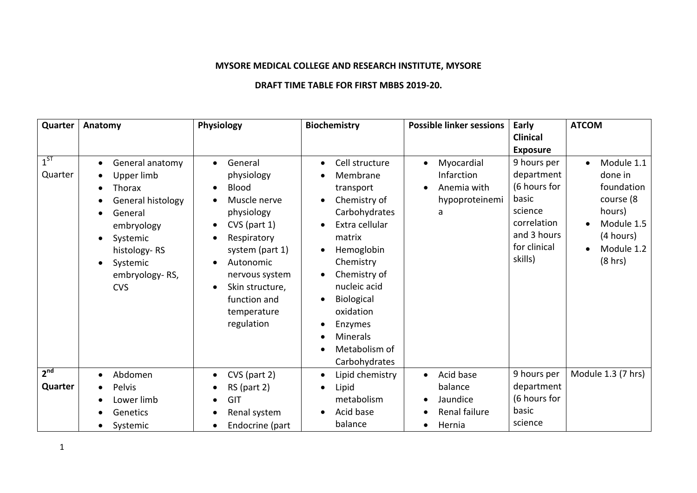## **MYSORE MEDICAL COLLEGE AND RESEARCH INSTITUTE, MYSORE**

## **DRAFT TIME TABLE FOR FIRST MBBS 2019-20.**

| Quarter             | Anatomy                                                                                                                                                                                                                                                  | Physiology                                                                                                                                                                                                                                                                                           | <b>Biochemistry</b>                                                                                                                                                                                                                                                                                        | <b>Possible linker sessions</b>                                                          | Early                                                                                                                  | <b>ATCOM</b>                                                                                                                |
|---------------------|----------------------------------------------------------------------------------------------------------------------------------------------------------------------------------------------------------------------------------------------------------|------------------------------------------------------------------------------------------------------------------------------------------------------------------------------------------------------------------------------------------------------------------------------------------------------|------------------------------------------------------------------------------------------------------------------------------------------------------------------------------------------------------------------------------------------------------------------------------------------------------------|------------------------------------------------------------------------------------------|------------------------------------------------------------------------------------------------------------------------|-----------------------------------------------------------------------------------------------------------------------------|
|                     |                                                                                                                                                                                                                                                          |                                                                                                                                                                                                                                                                                                      |                                                                                                                                                                                                                                                                                                            |                                                                                          | <b>Clinical</b>                                                                                                        |                                                                                                                             |
|                     |                                                                                                                                                                                                                                                          |                                                                                                                                                                                                                                                                                                      |                                                                                                                                                                                                                                                                                                            |                                                                                          | <b>Exposure</b>                                                                                                        |                                                                                                                             |
| $1^{ST}$<br>Quarter | General anatomy<br>$\bullet$<br>Upper limb<br>$\bullet$<br>Thorax<br>$\bullet$<br>General histology<br>$\bullet$<br>General<br>$\bullet$<br>embryology<br>Systemic<br>$\bullet$<br>histology-RS<br>Systemic<br>$\bullet$<br>embryology-RS,<br><b>CVS</b> | General<br>$\bullet$<br>physiology<br><b>Blood</b><br>$\bullet$<br>Muscle nerve<br>physiology<br>$CVS$ (part 1)<br>$\bullet$<br>Respiratory<br>$\bullet$<br>system (part 1)<br>Autonomic<br>$\bullet$<br>nervous system<br>Skin structure,<br>$\bullet$<br>function and<br>temperature<br>regulation | Cell structure<br>$\bullet$<br>Membrane<br>transport<br>Chemistry of<br>Carbohydrates<br>Extra cellular<br>matrix<br>Hemoglobin<br>$\bullet$<br>Chemistry<br>Chemistry of<br>nucleic acid<br>Biological<br>$\bullet$<br>oxidation<br>Enzymes<br>$\bullet$<br><b>Minerals</b><br>$\bullet$<br>Metabolism of | Myocardial<br>$\bullet$<br>Infarction<br>Anemia with<br>$\bullet$<br>hypoproteinemi<br>a | 9 hours per<br>department<br>(6 hours for<br>basic<br>science<br>correlation<br>and 3 hours<br>for clinical<br>skills) | Module 1.1<br>$\bullet$<br>done in<br>foundation<br>course (8<br>hours)<br>Module 1.5<br>(4 hours)<br>Module 1.2<br>(8 hrs) |
| 2 <sup>nd</sup>     |                                                                                                                                                                                                                                                          |                                                                                                                                                                                                                                                                                                      | Carbohydrates                                                                                                                                                                                                                                                                                              |                                                                                          |                                                                                                                        |                                                                                                                             |
|                     | Abdomen<br>$\bullet$                                                                                                                                                                                                                                     | CVS (part 2)<br>$\bullet$                                                                                                                                                                                                                                                                            | Lipid chemistry<br>$\bullet$                                                                                                                                                                                                                                                                               | Acid base<br>$\bullet$                                                                   | 9 hours per                                                                                                            | Module 1.3 (7 hrs)                                                                                                          |
| Quarter             | Pelvis                                                                                                                                                                                                                                                   | $RS$ (part 2)                                                                                                                                                                                                                                                                                        | Lipid                                                                                                                                                                                                                                                                                                      | balance                                                                                  | department                                                                                                             |                                                                                                                             |
|                     | Lower limb                                                                                                                                                                                                                                               | GIT                                                                                                                                                                                                                                                                                                  | metabolism                                                                                                                                                                                                                                                                                                 | Jaundice                                                                                 | (6 hours for                                                                                                           |                                                                                                                             |
|                     | Genetics                                                                                                                                                                                                                                                 | Renal system<br>$\bullet$                                                                                                                                                                                                                                                                            | Acid base<br>$\bullet$                                                                                                                                                                                                                                                                                     | Renal failure                                                                            | basic                                                                                                                  |                                                                                                                             |
|                     | Systemic<br>$\bullet$                                                                                                                                                                                                                                    | Endocrine (part<br>$\bullet$                                                                                                                                                                                                                                                                         | balance                                                                                                                                                                                                                                                                                                    | Hernia                                                                                   | science                                                                                                                |                                                                                                                             |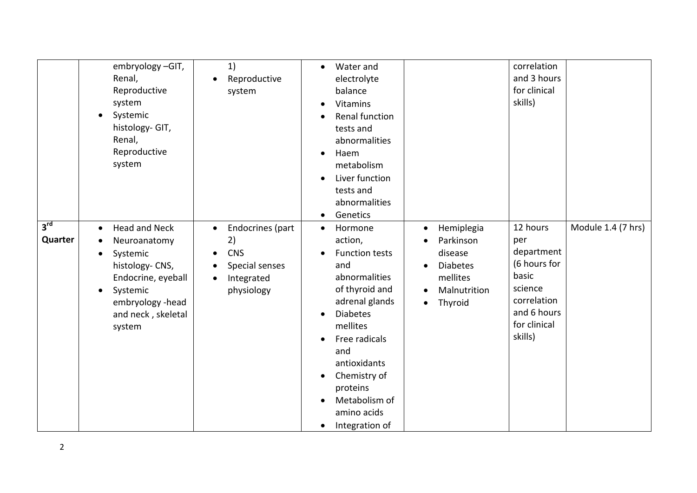|                            | embryology-GIT,<br>Renal,<br>Reproductive<br>system<br>Systemic<br>histology- GIT,<br>Renal,<br>Reproductive<br>system                                               | 1)<br>Reproductive<br>system                                                                    | Water and<br>$\bullet$<br>electrolyte<br>balance<br><b>Vitamins</b><br>Renal function<br>tests and<br>abnormalities<br>Haem<br>$\bullet$<br>metabolism<br>Liver function<br>tests and<br>abnormalities<br>Genetics<br>$\bullet$                                                                     |                                                                                                                                     | correlation<br>and 3 hours<br>for clinical<br>skills)                                                                      |                    |
|----------------------------|----------------------------------------------------------------------------------------------------------------------------------------------------------------------|-------------------------------------------------------------------------------------------------|-----------------------------------------------------------------------------------------------------------------------------------------------------------------------------------------------------------------------------------------------------------------------------------------------------|-------------------------------------------------------------------------------------------------------------------------------------|----------------------------------------------------------------------------------------------------------------------------|--------------------|
| 3 <sup>rd</sup><br>Quarter | <b>Head and Neck</b><br>$\bullet$<br>Neuroanatomy<br>Systemic<br>histology-CNS,<br>Endocrine, eyeball<br>Systemic<br>embryology-head<br>and neck, skeletal<br>system | Endocrines (part<br>$\bullet$<br>2)<br><b>CNS</b><br>Special senses<br>Integrated<br>physiology | Hormone<br>$\bullet$<br>action,<br><b>Function tests</b><br>and<br>abnormalities<br>of thyroid and<br>adrenal glands<br><b>Diabetes</b><br>mellites<br>Free radicals<br>and<br>antioxidants<br>Chemistry of<br>$\bullet$<br>proteins<br>Metabolism of<br>amino acids<br>Integration of<br>$\bullet$ | Hemiplegia<br>$\bullet$<br>Parkinson<br>disease<br><b>Diabetes</b><br>$\bullet$<br>mellites<br>Malnutrition<br>Thyroid<br>$\bullet$ | 12 hours<br>per<br>department<br>(6 hours for<br>basic<br>science<br>correlation<br>and 6 hours<br>for clinical<br>skills) | Module 1.4 (7 hrs) |